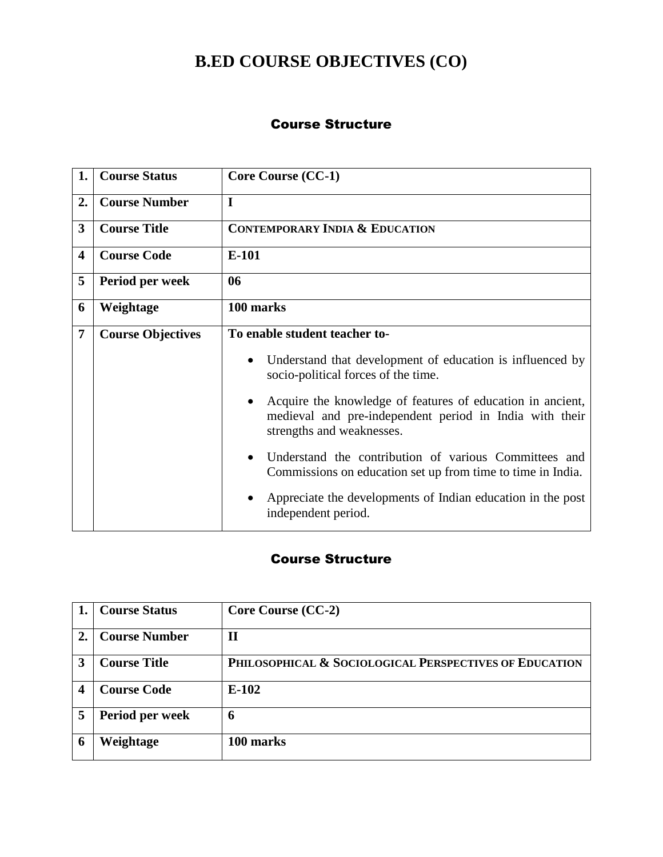# **B.ED COURSE OBJECTIVES (CO)**

#### Course Structure

| 1. | <b>Course Status</b>     | <b>Core Course (CC-1)</b>                                                                                                                          |  |  |
|----|--------------------------|----------------------------------------------------------------------------------------------------------------------------------------------------|--|--|
| 2. | <b>Course Number</b>     | $\mathbf I$                                                                                                                                        |  |  |
| 3  | <b>Course Title</b>      | <b>CONTEMPORARY INDIA &amp; EDUCATION</b>                                                                                                          |  |  |
| 4  | <b>Course Code</b>       | $E-101$                                                                                                                                            |  |  |
| 5  | Period per week          | 06                                                                                                                                                 |  |  |
| 6  | Weightage                | 100 marks                                                                                                                                          |  |  |
| 7  | <b>Course Objectives</b> | To enable student teacher to-                                                                                                                      |  |  |
|    |                          | Understand that development of education is influenced by<br>socio-political forces of the time.                                                   |  |  |
|    |                          | Acquire the knowledge of features of education in ancient,<br>medieval and pre-independent period in India with their<br>strengths and weaknesses. |  |  |
|    |                          | Understand the contribution of various Committees and<br>Commissions on education set up from time to time in India.                               |  |  |
|    |                          | Appreciate the developments of Indian education in the post<br>independent period.                                                                 |  |  |

|    | <b>Course Status</b> | Core Course (CC-2)                                     |
|----|----------------------|--------------------------------------------------------|
| 2. | <b>Course Number</b> | $\mathbf{I}$                                           |
| 3  | <b>Course Title</b>  | PHILOSOPHICAL & SOCIOLOGICAL PERSPECTIVES OF EDUCATION |
| 4  | <b>Course Code</b>   | $E-102$                                                |
| 5  | Period per week      | 6                                                      |
| 6  | Weightage            | 100 marks                                              |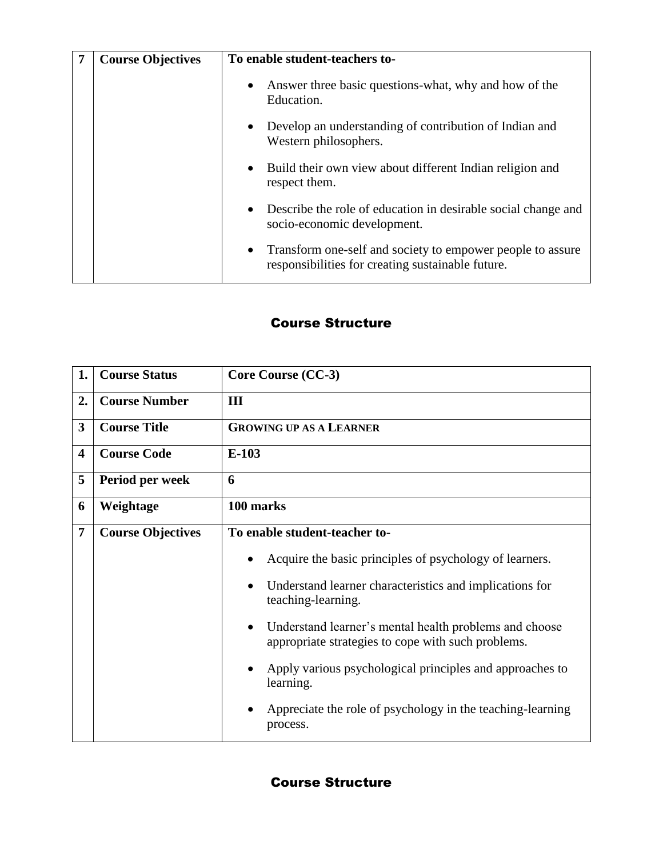| <b>Course Objectives</b> | To enable student-teachers to-                                                                                               |  |  |
|--------------------------|------------------------------------------------------------------------------------------------------------------------------|--|--|
|                          | Answer three basic questions-what, why and how of the<br>$\bullet$<br>Education.                                             |  |  |
|                          | Develop an understanding of contribution of Indian and<br>$\bullet$<br>Western philosophers.                                 |  |  |
|                          | Build their own view about different Indian religion and<br>$\bullet$<br>respect them.                                       |  |  |
|                          | Describe the role of education in desirable social change and<br>$\bullet$<br>socio-economic development.                    |  |  |
|                          | Transform one-self and society to empower people to assure<br>$\bullet$<br>responsibilities for creating sustainable future. |  |  |

| 1.                      | <b>Course Status</b>     | Core Course (CC-3)                                                                                                                                                                                                                                                                                                                                                                                                                                        |  |  |
|-------------------------|--------------------------|-----------------------------------------------------------------------------------------------------------------------------------------------------------------------------------------------------------------------------------------------------------------------------------------------------------------------------------------------------------------------------------------------------------------------------------------------------------|--|--|
| 2.                      | <b>Course Number</b>     | III                                                                                                                                                                                                                                                                                                                                                                                                                                                       |  |  |
| 3                       | <b>Course Title</b>      | <b>GROWING UP AS A LEARNER</b>                                                                                                                                                                                                                                                                                                                                                                                                                            |  |  |
| $\overline{\mathbf{4}}$ | <b>Course Code</b>       | $E-103$                                                                                                                                                                                                                                                                                                                                                                                                                                                   |  |  |
| 5                       | Period per week          | 6                                                                                                                                                                                                                                                                                                                                                                                                                                                         |  |  |
| 6                       | Weightage                | 100 marks                                                                                                                                                                                                                                                                                                                                                                                                                                                 |  |  |
| 7                       | <b>Course Objectives</b> | To enable student-teacher to-<br>Acquire the basic principles of psychology of learners.<br>Understand learner characteristics and implications for<br>teaching-learning.<br>Understand learner's mental health problems and choose<br>$\bullet$<br>appropriate strategies to cope with such problems.<br>Apply various psychological principles and approaches to<br>learning.<br>Appreciate the role of psychology in the teaching-learning<br>process. |  |  |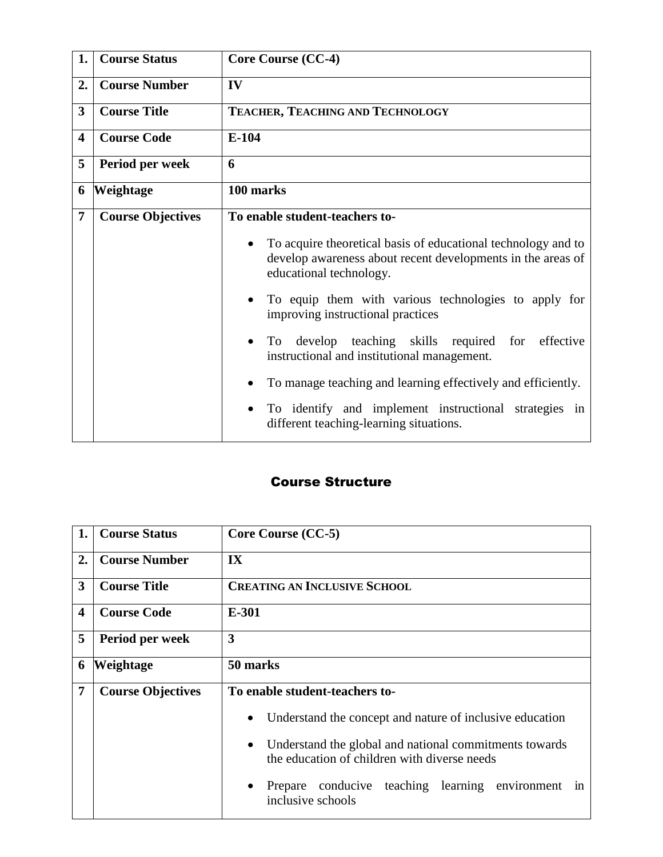| 1.                      | <b>Course Status</b>     | <b>Core Course (CC-4)</b>                                                                           |  |  |
|-------------------------|--------------------------|-----------------------------------------------------------------------------------------------------|--|--|
| 2.                      | <b>Course Number</b>     | IV                                                                                                  |  |  |
| 3                       | <b>Course Title</b>      | TEACHER, TEACHING AND TECHNOLOGY                                                                    |  |  |
| $\overline{\mathbf{4}}$ | <b>Course Code</b>       | $E-104$                                                                                             |  |  |
| 5                       | Period per week          | 6                                                                                                   |  |  |
| 6                       | Weightage                | 100 marks                                                                                           |  |  |
| 7                       | <b>Course Objectives</b> | To enable student-teachers to-<br>To acquire theoretical basis of educational technology and to     |  |  |
|                         |                          | develop awareness about recent developments in the areas of<br>educational technology.              |  |  |
|                         |                          | To equip them with various technologies to apply for<br>improving instructional practices           |  |  |
|                         |                          | To develop teaching skills required for<br>effective<br>instructional and institutional management. |  |  |
|                         |                          | To manage teaching and learning effectively and efficiently.                                        |  |  |
|                         |                          | To identify and implement instructional strategies in<br>different teaching-learning situations.    |  |  |

| 1. | <b>Course Status</b>     | Core Course (CC-5)                                                                                                  |  |  |
|----|--------------------------|---------------------------------------------------------------------------------------------------------------------|--|--|
| 2. | <b>Course Number</b>     | $\overline{\mathbf{I}}$                                                                                             |  |  |
| 3  | <b>Course Title</b>      | <b>CREATING AN INCLUSIVE SCHOOL</b>                                                                                 |  |  |
| 4  | <b>Course Code</b>       | E-301                                                                                                               |  |  |
| 5  | Period per week          | 3                                                                                                                   |  |  |
| 6  | <b>Weightage</b>         | 50 marks                                                                                                            |  |  |
| 7  | <b>Course Objectives</b> | To enable student-teachers to-                                                                                      |  |  |
|    |                          | Understand the concept and nature of inclusive education<br>$\bullet$                                               |  |  |
|    |                          | Understand the global and national commitments towards<br>$\bullet$<br>the education of children with diverse needs |  |  |
|    |                          | conducive teaching learning environment<br>Prepare<br>1n<br>$\bullet$<br>inclusive schools                          |  |  |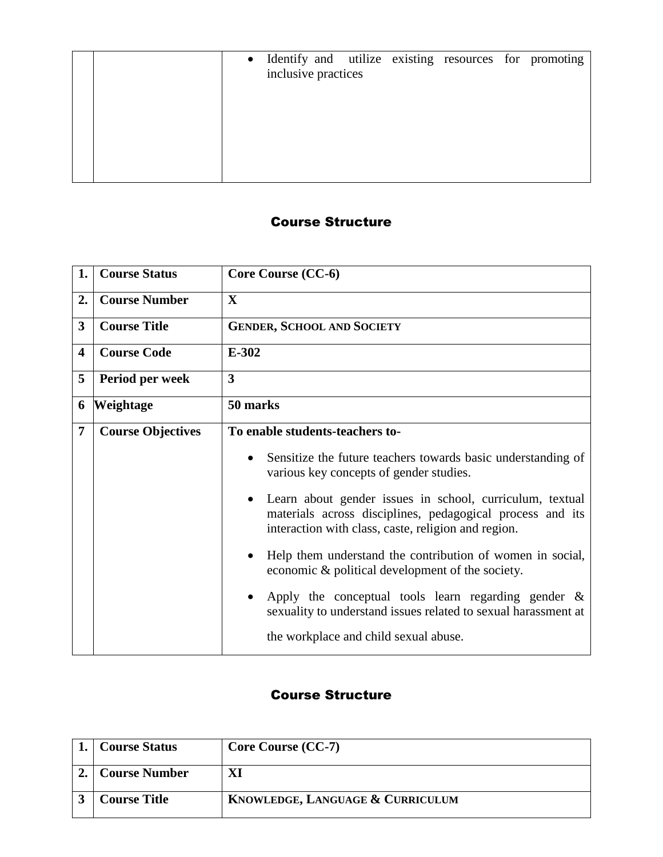|  | • Identify and utilize existing resources for promoting |  |  |  |
|--|---------------------------------------------------------|--|--|--|
|  | inclusive practices                                     |  |  |  |
|  |                                                         |  |  |  |
|  |                                                         |  |  |  |
|  |                                                         |  |  |  |
|  |                                                         |  |  |  |
|  |                                                         |  |  |  |

| 1.             | <b>Course Status</b>     | Core Course (CC-6)                                                                                                                                                           |  |  |
|----------------|--------------------------|------------------------------------------------------------------------------------------------------------------------------------------------------------------------------|--|--|
| 2.             | <b>Course Number</b>     | $\mathbf{X}$                                                                                                                                                                 |  |  |
| 3              | <b>Course Title</b>      | <b>GENDER, SCHOOL AND SOCIETY</b>                                                                                                                                            |  |  |
| 4              | <b>Course Code</b>       | $E-302$                                                                                                                                                                      |  |  |
| 5              | Period per week          | $\overline{\mathbf{3}}$                                                                                                                                                      |  |  |
| 6              | Weightage                | 50 marks                                                                                                                                                                     |  |  |
| $\overline{7}$ | <b>Course Objectives</b> | To enable students-teachers to-                                                                                                                                              |  |  |
|                |                          | Sensitize the future teachers towards basic understanding of<br>various key concepts of gender studies.                                                                      |  |  |
|                |                          | Learn about gender issues in school, curriculum, textual<br>materials across disciplines, pedagogical process and its<br>interaction with class, caste, religion and region. |  |  |
|                |                          | Help them understand the contribution of women in social,<br>economic & political development of the society.                                                                |  |  |
|                |                          | Apply the conceptual tools learn regarding gender $\&$<br>sexuality to understand issues related to sexual harassment at                                                     |  |  |
|                |                          | the workplace and child sexual abuse.                                                                                                                                        |  |  |

| <b>Course Status</b> | <b>Core Course (CC-7)</b>        |
|----------------------|----------------------------------|
| <b>Course Number</b> |                                  |
| <b>Course Title</b>  | KNOWLEDGE, LANGUAGE & CURRICULUM |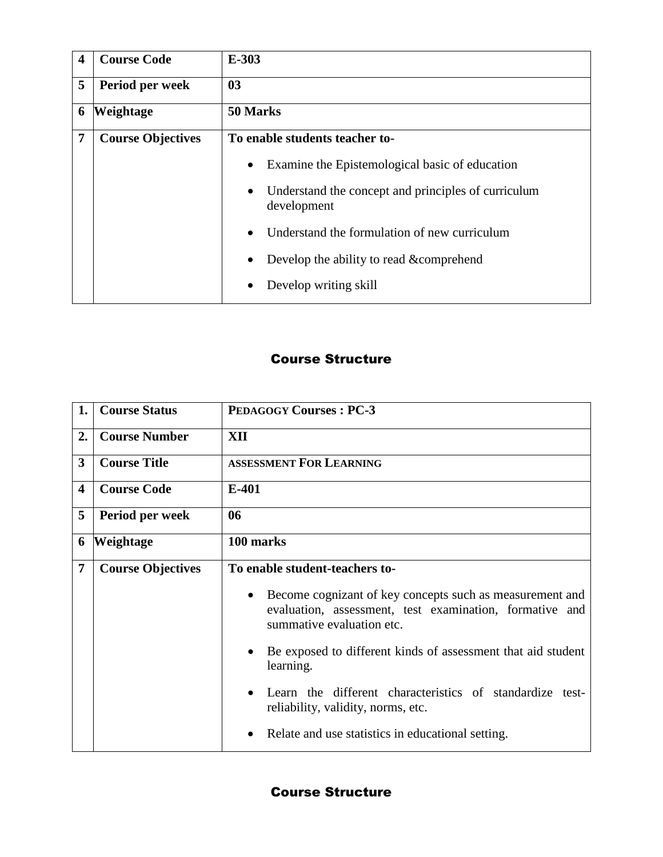| $\boldsymbol{4}$ | <b>Course Code</b>       | $E-303$                                                                         |  |
|------------------|--------------------------|---------------------------------------------------------------------------------|--|
| 5                | Period per week          | 0 <sub>3</sub>                                                                  |  |
| 6                | <b>Weightage</b>         | 50 Marks                                                                        |  |
| 7                | <b>Course Objectives</b> | To enable students teacher to-                                                  |  |
|                  |                          | Examine the Epistemological basic of education<br>$\bullet$                     |  |
|                  |                          | Understand the concept and principles of curriculum<br>$\bullet$<br>development |  |
|                  |                          | Understand the formulation of new curriculum<br>$\bullet$                       |  |
|                  |                          | Develop the ability to read & comprehend<br>$\bullet$                           |  |
|                  |                          | Develop writing skill<br>$\bullet$                                              |  |

| 1. | <b>Course Status</b>     | <b>PEDAGOGY Courses: PC-3</b>                                                                                                                    |  |  |
|----|--------------------------|--------------------------------------------------------------------------------------------------------------------------------------------------|--|--|
| 2. | <b>Course Number</b>     | XII                                                                                                                                              |  |  |
| 3  | <b>Course Title</b>      | <b>ASSESSMENT FOR LEARNING</b>                                                                                                                   |  |  |
| 4  | <b>Course Code</b>       | $E-401$                                                                                                                                          |  |  |
| 5  | Period per week          | 06                                                                                                                                               |  |  |
| 6  | Weightage                | 100 marks                                                                                                                                        |  |  |
| 7  | <b>Course Objectives</b> | To enable student-teachers to-                                                                                                                   |  |  |
|    |                          | Become cognizant of key concepts such as measurement and<br>evaluation, assessment, test examination, formative and<br>summative evaluation etc. |  |  |
|    |                          | Be exposed to different kinds of assessment that aid student<br>learning.                                                                        |  |  |
|    |                          | Learn the different characteristics of standardize test-<br>reliability, validity, norms, etc.                                                   |  |  |
|    |                          | Relate and use statistics in educational setting.                                                                                                |  |  |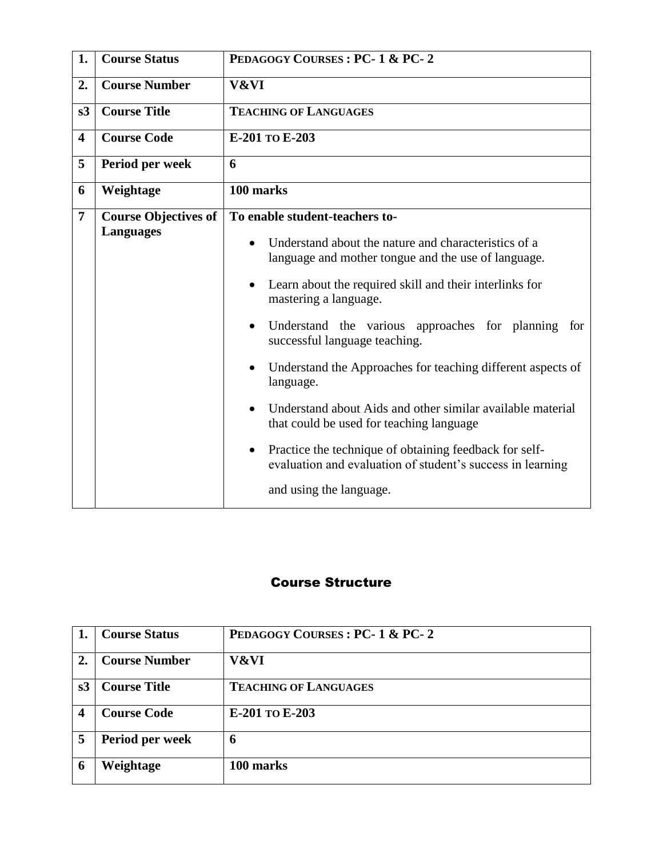| 1.                      | <b>Course Status</b>        | PEDAGOGY COURSES: PC-1 & PC-2                                                                                                     |
|-------------------------|-----------------------------|-----------------------------------------------------------------------------------------------------------------------------------|
| 2.                      | <b>Course Number</b>        | V&VI                                                                                                                              |
| s3                      | <b>Course Title</b>         | <b>TEACHING OF LANGUAGES</b>                                                                                                      |
| $\overline{\mathbf{4}}$ | <b>Course Code</b>          | E-201 TO E-203                                                                                                                    |
| 5                       | Period per week             | 6                                                                                                                                 |
| 6                       | Weightage                   | 100 marks                                                                                                                         |
| $\overline{7}$          | <b>Course Objectives of</b> | To enable student-teachers to-                                                                                                    |
|                         | <b>Languages</b>            | Understand about the nature and characteristics of a<br>language and mother tongue and the use of language.                       |
|                         |                             | Learn about the required skill and their interlinks for<br>$\bullet$<br>mastering a language.                                     |
|                         |                             | Understand the various approaches for planning<br>for<br>$\bullet$<br>successful language teaching.                               |
|                         |                             | Understand the Approaches for teaching different aspects of<br>$\bullet$<br>language.                                             |
|                         |                             | Understand about Aids and other similar available material<br>$\bullet$<br>that could be used for teaching language               |
|                         |                             | Practice the technique of obtaining feedback for self-<br>$\bullet$<br>evaluation and evaluation of student's success in learning |
|                         |                             | and using the language.                                                                                                           |

|                  | <b>Course Status</b> | PEDAGOGY COURSES : PC-1 & PC-2 |
|------------------|----------------------|--------------------------------|
| 2.               | <b>Course Number</b> | V&VI                           |
| s3               | <b>Course Title</b>  | <b>TEACHING OF LANGUAGES</b>   |
| $\boldsymbol{4}$ | <b>Course Code</b>   | E-201 TO E-203                 |
| 5                | Period per week      | 6                              |
| 6                | Weightage            | 100 marks                      |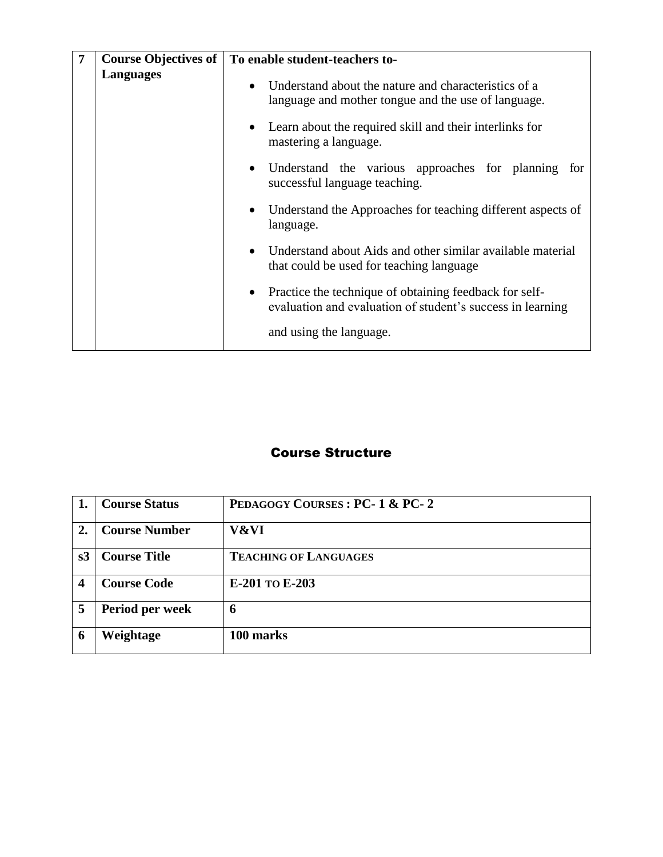| 7 | <b>Course Objectives of</b> | To enable student-teachers to-                                                                                                    |
|---|-----------------------------|-----------------------------------------------------------------------------------------------------------------------------------|
|   | <b>Languages</b>            | Understand about the nature and characteristics of a<br>language and mother tongue and the use of language.                       |
|   |                             | Learn about the required skill and their interlinks for<br>mastering a language.                                                  |
|   |                             | Understand the various approaches for planning for<br>successful language teaching.                                               |
|   |                             | Understand the Approaches for teaching different aspects of<br>language.                                                          |
|   |                             | Understand about Aids and other similar available material<br>that could be used for teaching language                            |
|   |                             | Practice the technique of obtaining feedback for self-<br>$\bullet$<br>evaluation and evaluation of student's success in learning |
|   |                             | and using the language.                                                                                                           |

|    | <b>Course Status</b> | PEDAGOGY COURSES: PC-1 & PC-2 |
|----|----------------------|-------------------------------|
| 2. | <b>Course Number</b> | V&VI                          |
| s3 | <b>Course Title</b>  | <b>TEACHING OF LANGUAGES</b>  |
|    | <b>Course Code</b>   | E-201 TO E-203                |
| 5  | Period per week      | 6                             |
|    | Weightage            | 100 marks                     |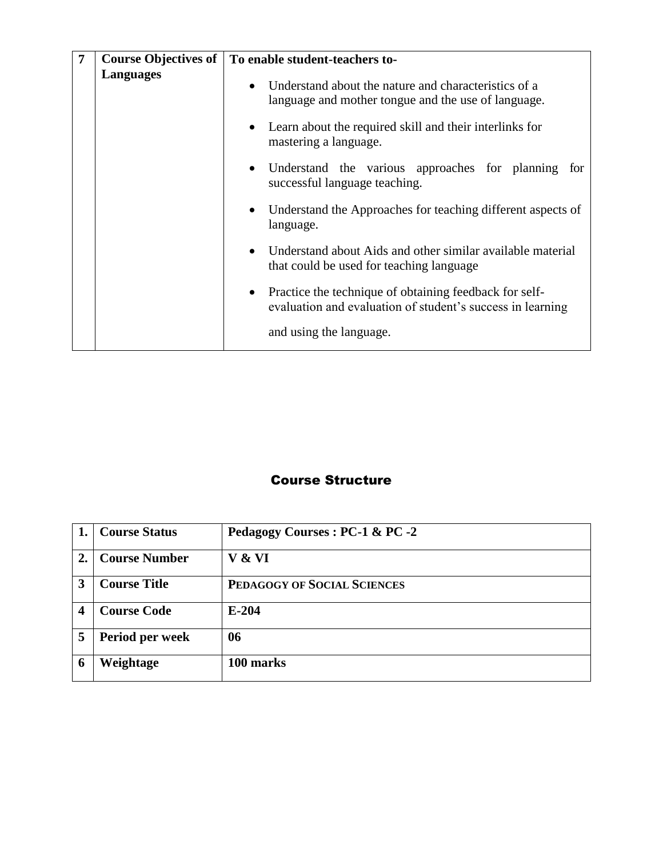| 7 | <b>Course Objectives of</b> | To enable student-teachers to-                                                                                                    |
|---|-----------------------------|-----------------------------------------------------------------------------------------------------------------------------------|
|   | <b>Languages</b>            | Understand about the nature and characteristics of a<br>language and mother tongue and the use of language.                       |
|   |                             | Learn about the required skill and their interlinks for<br>mastering a language.                                                  |
|   |                             | Understand the various approaches for planning for<br>successful language teaching.                                               |
|   |                             | Understand the Approaches for teaching different aspects of<br>language.                                                          |
|   |                             | Understand about Aids and other similar available material<br>that could be used for teaching language                            |
|   |                             | Practice the technique of obtaining feedback for self-<br>$\bullet$<br>evaluation and evaluation of student's success in learning |
|   |                             | and using the language.                                                                                                           |

|                  | <b>Course Status</b> | Pedagogy Courses : PC-1 & PC -2 |
|------------------|----------------------|---------------------------------|
| $\overline{2}$ . | <b>Course Number</b> | V & VI                          |
| 3                | <b>Course Title</b>  | PEDAGOGY OF SOCIAL SCIENCES     |
|                  | <b>Course Code</b>   | $E-204$                         |
| 5                | Period per week      | 06                              |
|                  | Weightage            | 100 marks                       |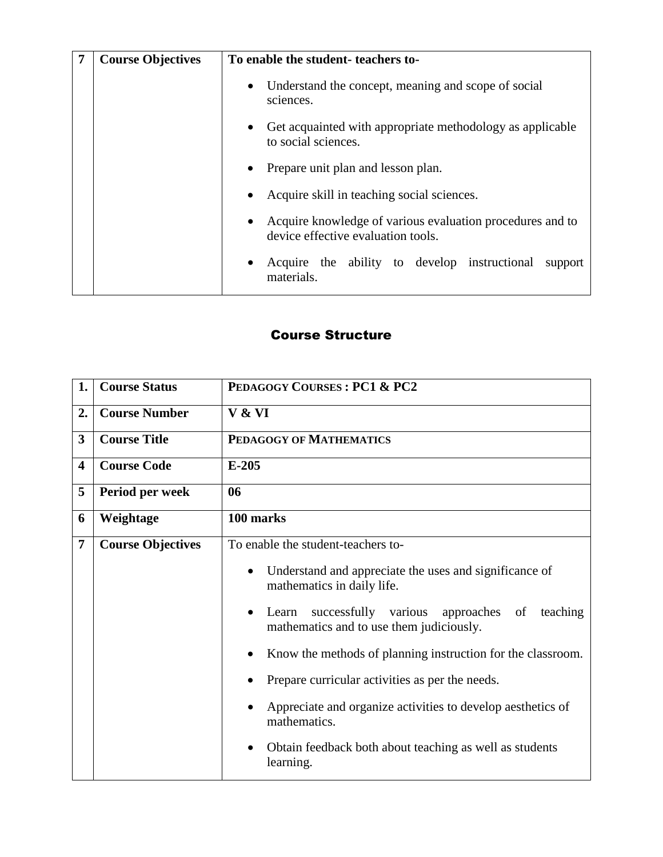| <b>Course Objectives</b> | To enable the student-teachers to-                                                                           |
|--------------------------|--------------------------------------------------------------------------------------------------------------|
|                          | Understand the concept, meaning and scope of social<br>$\bullet$<br>sciences.                                |
|                          | Get acquainted with appropriate methodology as applicable<br>$\bullet$<br>to social sciences.                |
|                          | Prepare unit plan and lesson plan.<br>$\bullet$                                                              |
|                          | Acquire skill in teaching social sciences.<br>$\bullet$                                                      |
|                          | Acquire knowledge of various evaluation procedures and to<br>$\bullet$<br>device effective evaluation tools. |
|                          | Acquire the ability to develop instructional<br>support<br>materials.                                        |

| 1. | <b>Course Status</b>     | PEDAGOGY COURSES: PC1 & PC2                                                                         |
|----|--------------------------|-----------------------------------------------------------------------------------------------------|
| 2. | <b>Course Number</b>     | V & VI                                                                                              |
| 3  | <b>Course Title</b>      | PEDAGOGY OF MATHEMATICS                                                                             |
| 4  | <b>Course Code</b>       | $E-205$                                                                                             |
| 5  | Period per week          | 06                                                                                                  |
| 6  | Weightage                | 100 marks                                                                                           |
| 7  | <b>Course Objectives</b> | To enable the student-teachers to-                                                                  |
|    |                          | Understand and appreciate the uses and significance of<br>mathematics in daily life.                |
|    |                          | successfully various approaches of<br>teaching<br>Learn<br>mathematics and to use them judiciously. |
|    |                          | Know the methods of planning instruction for the classroom.                                         |
|    |                          | Prepare curricular activities as per the needs.                                                     |
|    |                          | Appreciate and organize activities to develop aesthetics of<br>mathematics.                         |
|    |                          | Obtain feedback both about teaching as well as students<br>learning.                                |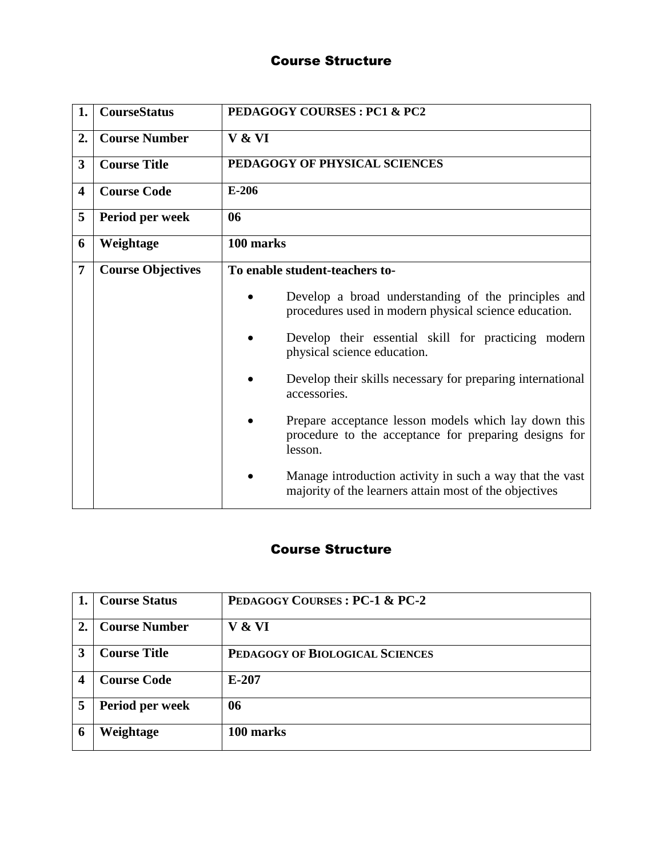| 1.                      | <b>CourseStatus</b>      | PEDAGOGY COURSES: PC1 & PC2                                                                                              |
|-------------------------|--------------------------|--------------------------------------------------------------------------------------------------------------------------|
| 2.                      | <b>Course Number</b>     | V & VI                                                                                                                   |
| 3                       | <b>Course Title</b>      | PEDAGOGY OF PHYSICAL SCIENCES                                                                                            |
| $\overline{\mathbf{4}}$ | <b>Course Code</b>       | $E-206$                                                                                                                  |
| 5                       | Period per week          | 06                                                                                                                       |
| 6                       | Weightage                | 100 marks                                                                                                                |
| $\overline{7}$          | <b>Course Objectives</b> | To enable student-teachers to-                                                                                           |
|                         |                          | Develop a broad understanding of the principles and<br>procedures used in modern physical science education.             |
|                         |                          | Develop their essential skill for practicing modern<br>physical science education.                                       |
|                         |                          | Develop their skills necessary for preparing international<br>accessories.                                               |
|                         |                          | Prepare acceptance lesson models which lay down this<br>procedure to the acceptance for preparing designs for<br>lesson. |
|                         |                          | Manage introduction activity in such a way that the vast<br>majority of the learners attain most of the objectives       |

|    | <b>Course Status</b> | PEDAGOGY COURSES: PC-1 & PC-2   |
|----|----------------------|---------------------------------|
| 2. | <b>Course Number</b> | V & VI                          |
|    | <b>Course Title</b>  | PEDAGOGY OF BIOLOGICAL SCIENCES |
| 4  | <b>Course Code</b>   | $E-207$                         |
| 5  | Period per week      | 06                              |
| 6  | Weightage            | 100 marks                       |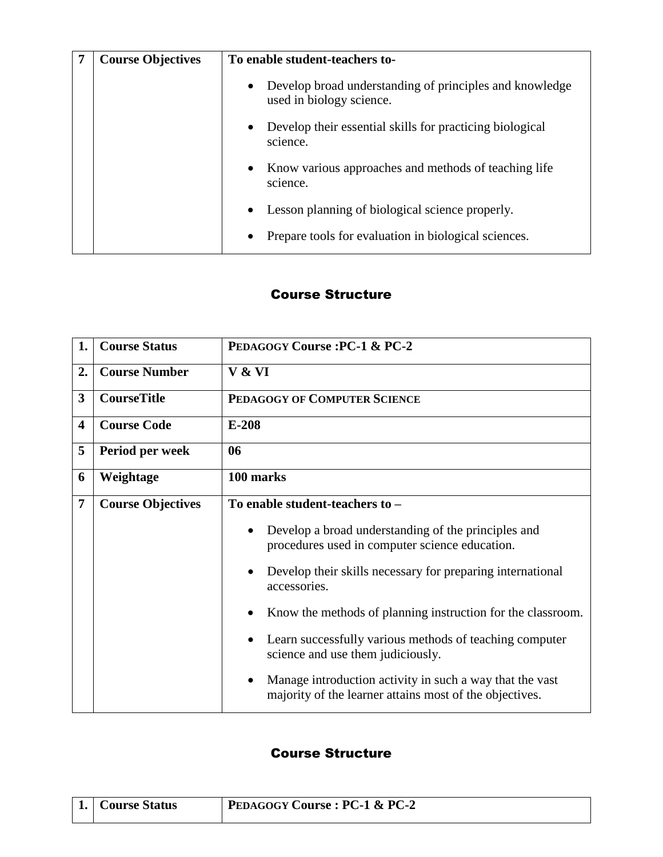| <b>Course Objectives</b> | To enable student-teachers to-                                                                   |
|--------------------------|--------------------------------------------------------------------------------------------------|
|                          | Develop broad understanding of principles and knowledge<br>$\bullet$<br>used in biology science. |
|                          | Develop their essential skills for practicing biological<br>$\bullet$<br>science.                |
|                          | Know various approaches and methods of teaching life<br>$\bullet$<br>science.                    |
|                          | Lesson planning of biological science properly.<br>$\bullet$                                     |
|                          | Prepare tools for evaluation in biological sciences.                                             |

| 1.                      | <b>Course Status</b>     | <b>PEDAGOGY Course: PC-1 &amp; PC-2</b>                                                                                          |
|-------------------------|--------------------------|----------------------------------------------------------------------------------------------------------------------------------|
| 2.                      | <b>Course Number</b>     | V & VI                                                                                                                           |
| 3                       | <b>CourseTitle</b>       | PEDAGOGY OF COMPUTER SCIENCE                                                                                                     |
| $\overline{\mathbf{4}}$ | <b>Course Code</b>       | $E-208$                                                                                                                          |
| 5                       | Period per week          | 06                                                                                                                               |
| 6                       | Weightage                | 100 marks                                                                                                                        |
| 7                       | <b>Course Objectives</b> | To enable student-teachers to -                                                                                                  |
|                         |                          | Develop a broad understanding of the principles and<br>$\bullet$<br>procedures used in computer science education.               |
|                         |                          | Develop their skills necessary for preparing international<br>accessories.                                                       |
|                         |                          | Know the methods of planning instruction for the classroom.                                                                      |
|                         |                          | Learn successfully various methods of teaching computer<br>science and use them judiciously.                                     |
|                         |                          | Manage introduction activity in such a way that the vast<br>$\bullet$<br>majority of the learner attains most of the objectives. |

| 1.   Course Status | PEDAGOGY Course : PC-1 & PC-2 |
|--------------------|-------------------------------|
|                    |                               |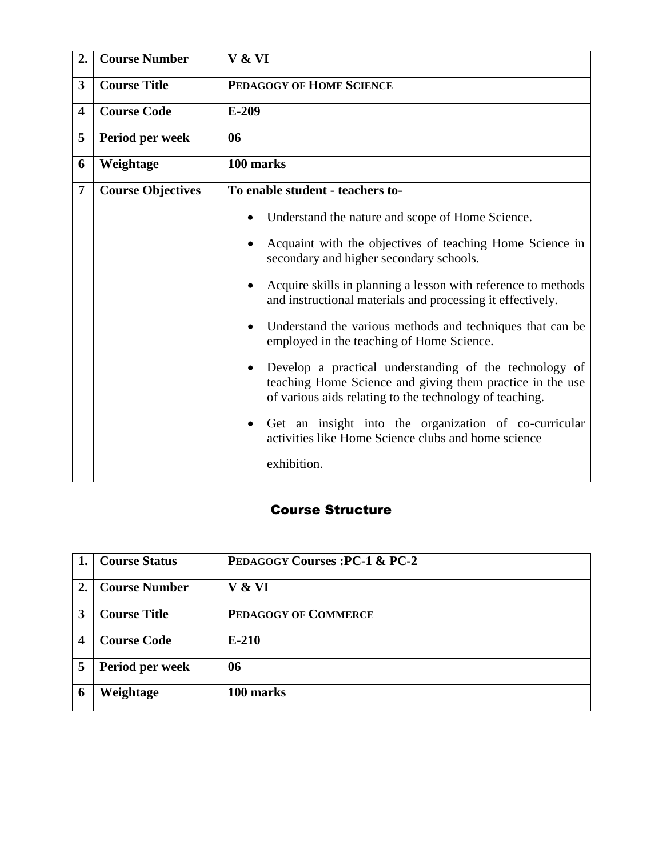| 2.             | <b>Course Number</b>     | V & VI                                                                                                                                                                         |
|----------------|--------------------------|--------------------------------------------------------------------------------------------------------------------------------------------------------------------------------|
| 3              | <b>Course Title</b>      | PEDAGOGY OF HOME SCIENCE                                                                                                                                                       |
| 4              | <b>Course Code</b>       | $E-209$                                                                                                                                                                        |
| 5              | Period per week          | 06                                                                                                                                                                             |
| 6              | Weightage                | 100 marks                                                                                                                                                                      |
| $\overline{7}$ | <b>Course Objectives</b> | To enable student - teachers to-                                                                                                                                               |
|                |                          | Understand the nature and scope of Home Science.                                                                                                                               |
|                |                          | Acquaint with the objectives of teaching Home Science in<br>secondary and higher secondary schools.                                                                            |
|                |                          | Acquire skills in planning a lesson with reference to methods<br>and instructional materials and processing it effectively.                                                    |
|                |                          | Understand the various methods and techniques that can be<br>employed in the teaching of Home Science.                                                                         |
|                |                          | Develop a practical understanding of the technology of<br>teaching Home Science and giving them practice in the use<br>of various aids relating to the technology of teaching. |
|                |                          | Get an insight into the organization of co-curricular<br>activities like Home Science clubs and home science                                                                   |
|                |                          | exhibition.                                                                                                                                                                    |

|    | <b>Course Status</b> | <b>PEDAGOGY Courses: PC-1 &amp; PC-2</b> |
|----|----------------------|------------------------------------------|
| 2. | <b>Course Number</b> | V & VI                                   |
| 3  | <b>Course Title</b>  | <b>PEDAGOGY OF COMMERCE</b>              |
| 4  | <b>Course Code</b>   | $E-210$                                  |
| 5  | Period per week      | 06                                       |
| 6  | Weightage            | 100 marks                                |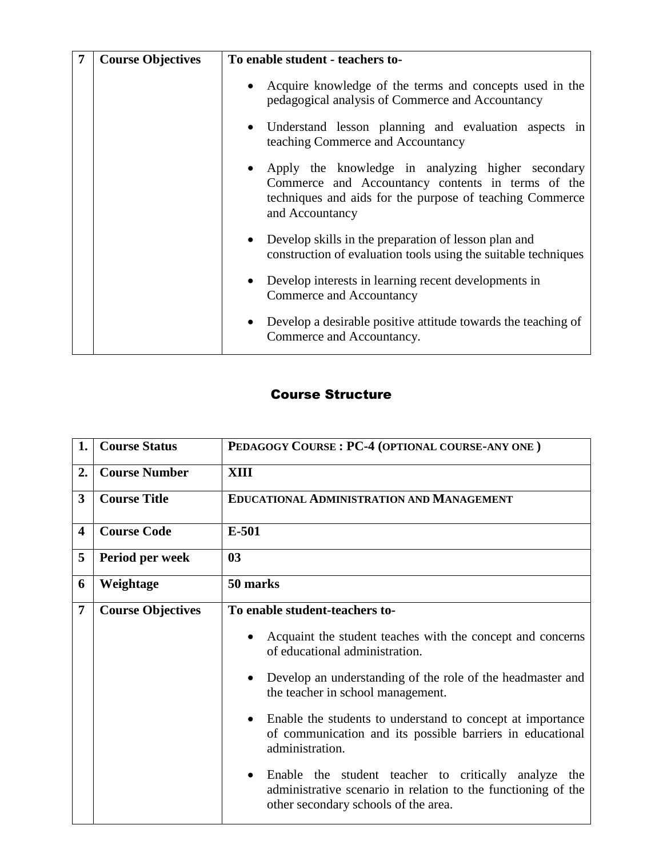| <b>Course Objectives</b> | To enable student - teachers to-                                                                                                                                                        |
|--------------------------|-----------------------------------------------------------------------------------------------------------------------------------------------------------------------------------------|
|                          | • Acquire knowledge of the terms and concepts used in the<br>pedagogical analysis of Commerce and Accountancy                                                                           |
|                          | • Understand lesson planning and evaluation aspects in<br>teaching Commerce and Accountancy                                                                                             |
|                          | • Apply the knowledge in analyzing higher secondary<br>Commerce and Accountancy contents in terms of the<br>techniques and aids for the purpose of teaching Commerce<br>and Accountancy |
|                          | Develop skills in the preparation of lesson plan and<br>construction of evaluation tools using the suitable techniques                                                                  |
|                          | Develop interests in learning recent developments in<br>Commerce and Accountancy                                                                                                        |
|                          | Develop a desirable positive attitude towards the teaching of<br>Commerce and Accountancy.                                                                                              |

| 1.                      | <b>Course Status</b>     | PEDAGOGY COURSE: PC-4 (OPTIONAL COURSE-ANY ONE)                                                                                                                            |
|-------------------------|--------------------------|----------------------------------------------------------------------------------------------------------------------------------------------------------------------------|
| 2.                      | <b>Course Number</b>     | <b>XIII</b>                                                                                                                                                                |
| 3                       | <b>Course Title</b>      | <b>EDUCATIONAL ADMINISTRATION AND MANAGEMENT</b>                                                                                                                           |
| $\overline{\mathbf{4}}$ | <b>Course Code</b>       | E-501                                                                                                                                                                      |
| 5                       | Period per week          | 03                                                                                                                                                                         |
| 6                       | Weightage                | 50 marks                                                                                                                                                                   |
| 7                       | <b>Course Objectives</b> | To enable student-teachers to-                                                                                                                                             |
|                         |                          | Acquaint the student teaches with the concept and concerns<br>$\bullet$<br>of educational administration.                                                                  |
|                         |                          | Develop an understanding of the role of the headmaster and<br>$\bullet$<br>the teacher in school management.                                                               |
|                         |                          | Enable the students to understand to concept at importance<br>$\bullet$<br>of communication and its possible barriers in educational<br>administration.                    |
|                         |                          | Enable the student teacher to critically analyze the<br>$\bullet$<br>administrative scenario in relation to the functioning of the<br>other secondary schools of the area. |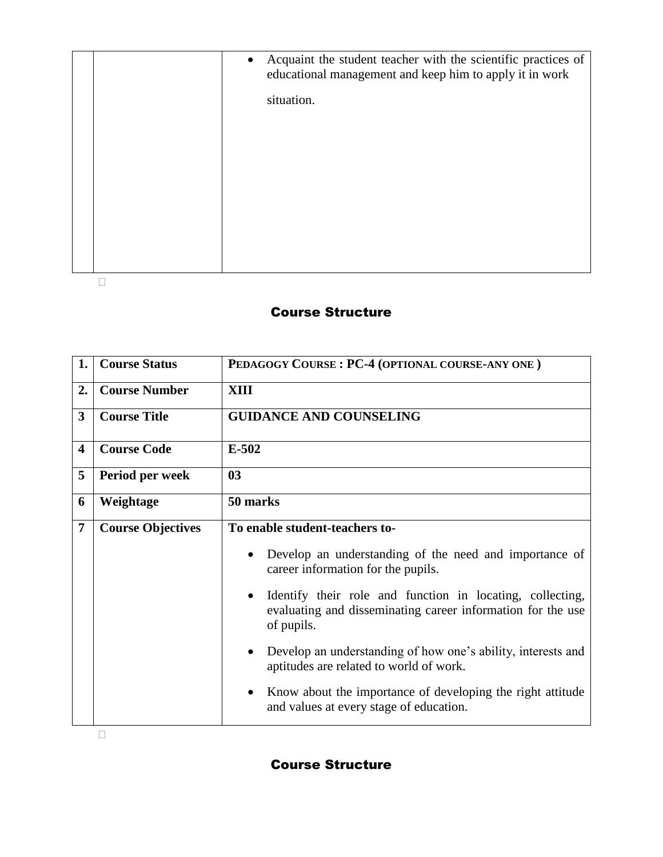|  | • Acquaint the student teacher with the scientific practices of<br>educational management and keep him to apply it in work |
|--|----------------------------------------------------------------------------------------------------------------------------|
|  | situation.                                                                                                                 |
|  |                                                                                                                            |
|  |                                                                                                                            |
|  |                                                                                                                            |
|  |                                                                                                                            |
|  |                                                                                                                            |
|  |                                                                                                                            |

| 1.                      | <b>Course Status</b>     | PEDAGOGY COURSE: PC-4 (OPTIONAL COURSE-ANY ONE)                                                                                        |
|-------------------------|--------------------------|----------------------------------------------------------------------------------------------------------------------------------------|
| 2.                      | <b>Course Number</b>     | XIII                                                                                                                                   |
| 3                       | <b>Course Title</b>      | <b>GUIDANCE AND COUNSELING</b>                                                                                                         |
| $\overline{\mathbf{4}}$ | <b>Course Code</b>       | $E-502$                                                                                                                                |
| 5                       | Period per week          | 03                                                                                                                                     |
| 6                       | Weightage                | 50 marks                                                                                                                               |
| 7                       | <b>Course Objectives</b> | To enable student-teachers to-                                                                                                         |
|                         |                          | Develop an understanding of the need and importance of<br>career information for the pupils.                                           |
|                         |                          | Identify their role and function in locating, collecting,<br>evaluating and disseminating career information for the use<br>of pupils. |
|                         |                          | Develop an understanding of how one's ability, interests and<br>aptitudes are related to world of work.                                |
|                         |                          | Know about the importance of developing the right attitude<br>and values at every stage of education.                                  |
|                         |                          |                                                                                                                                        |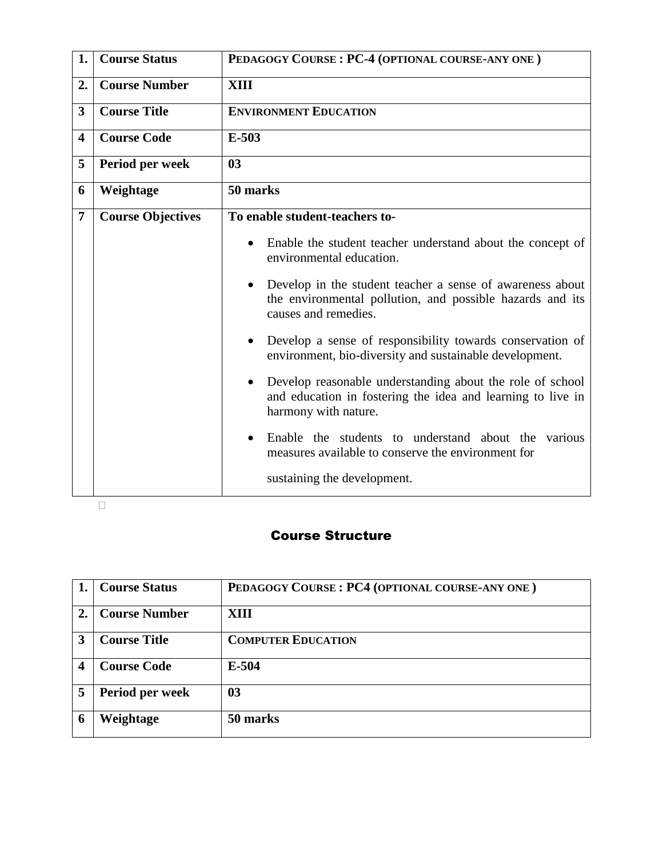| 1.                      | <b>Course Status</b>     | PEDAGOGY COURSE: PC-4 (OPTIONAL COURSE-ANY ONE)                                                                                                               |
|-------------------------|--------------------------|---------------------------------------------------------------------------------------------------------------------------------------------------------------|
| 2.                      | <b>Course Number</b>     | <b>XIII</b>                                                                                                                                                   |
| 3                       | <b>Course Title</b>      | <b>ENVIRONMENT EDUCATION</b>                                                                                                                                  |
| $\overline{\mathbf{4}}$ | <b>Course Code</b>       | $E-503$                                                                                                                                                       |
| 5                       | Period per week          | 0 <sub>3</sub>                                                                                                                                                |
| 6                       | Weightage                | 50 marks                                                                                                                                                      |
| 7                       | <b>Course Objectives</b> | To enable student-teachers to-                                                                                                                                |
|                         |                          | Enable the student teacher understand about the concept of<br>environmental education.                                                                        |
|                         |                          | Develop in the student teacher a sense of awareness about<br>$\bullet$<br>the environmental pollution, and possible hazards and its<br>causes and remedies.   |
|                         |                          | Develop a sense of responsibility towards conservation of<br>environment, bio-diversity and sustainable development.                                          |
|                         |                          | Develop reasonable understanding about the role of school<br>$\bullet$<br>and education in fostering the idea and learning to live in<br>harmony with nature. |
|                         |                          | Enable the students to understand about the<br>various<br>measures available to conserve the environment for                                                  |
|                         |                          | sustaining the development.                                                                                                                                   |

#### $\Box$

|                  | <b>Course Status</b> | PEDAGOGY COURSE: PC4 (OPTIONAL COURSE-ANY ONE) |
|------------------|----------------------|------------------------------------------------|
| $\overline{2}$ . | <b>Course Number</b> | XIII                                           |
| 3                | <b>Course Title</b>  | <b>COMPUTER EDUCATION</b>                      |
| 4                | <b>Course Code</b>   | $E-504$                                        |
| 5                | Period per week      | 0 <sub>3</sub>                                 |
| 6                | Weightage            | 50 marks                                       |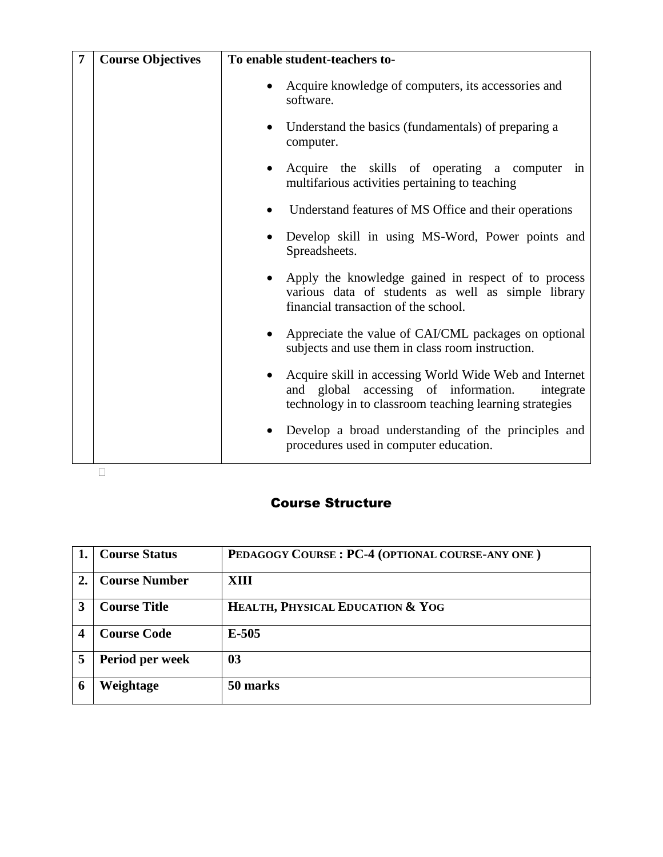| $\overline{7}$ | <b>Course Objectives</b> | To enable student-teachers to-                                                                                                                                              |
|----------------|--------------------------|-----------------------------------------------------------------------------------------------------------------------------------------------------------------------------|
|                |                          | Acquire knowledge of computers, its accessories and<br>٠<br>software.                                                                                                       |
|                |                          | Understand the basics (fundamentals) of preparing a<br>$\bullet$<br>computer.                                                                                               |
|                |                          | Acquire the skills of operating a computer in<br>$\bullet$<br>multifarious activities pertaining to teaching                                                                |
|                |                          | Understand features of MS Office and their operations                                                                                                                       |
|                |                          | Develop skill in using MS-Word, Power points and<br>Spreadsheets.                                                                                                           |
|                |                          | Apply the knowledge gained in respect of to process<br>٠<br>various data of students as well as simple library<br>financial transaction of the school.                      |
|                |                          | Appreciate the value of CAI/CML packages on optional<br>$\bullet$<br>subjects and use them in class room instruction.                                                       |
|                |                          | Acquire skill in accessing World Wide Web and Internet<br>٠<br>and global accessing of information.<br>integrate<br>technology in to classroom teaching learning strategies |
|                |                          | Develop a broad understanding of the principles and<br>$\bullet$<br>procedures used in computer education.                                                                  |
|                |                          |                                                                                                                                                                             |

|                  | <b>Course Status</b> | PEDAGOGY COURSE: PC-4 (OPTIONAL COURSE-ANY ONE) |
|------------------|----------------------|-------------------------------------------------|
| $\overline{2}$ . | <b>Course Number</b> | XIII                                            |
| $\mathbf{3}$     | <b>Course Title</b>  | HEALTH, PHYSICAL EDUCATION & YOG                |
|                  | <b>Course Code</b>   | $E-505$                                         |
| 5                | Period per week      | 0 <sub>3</sub>                                  |
|                  | Weightage            | 50 marks                                        |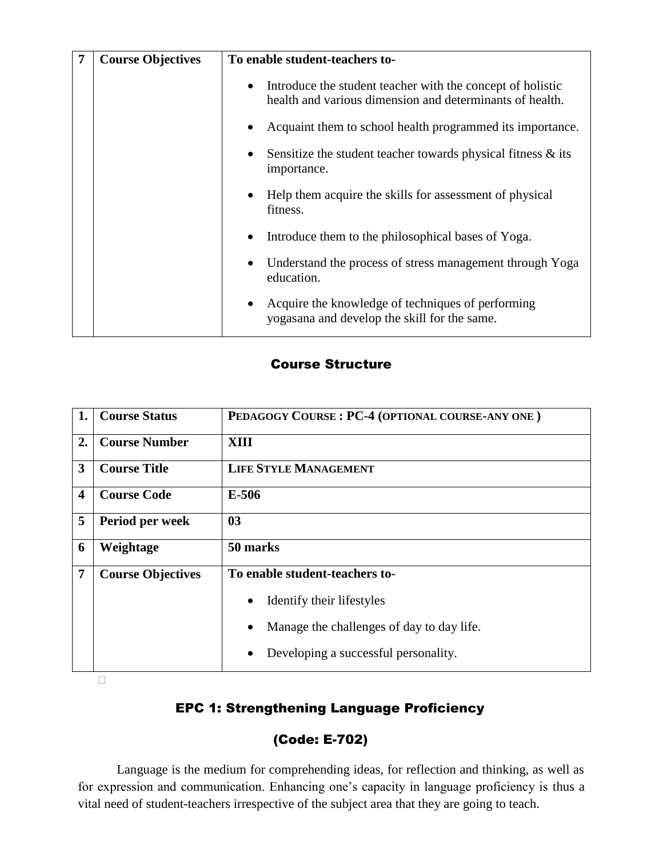| <b>Course Objectives</b> | To enable student-teachers to-                                                                                                      |
|--------------------------|-------------------------------------------------------------------------------------------------------------------------------------|
|                          | Introduce the student teacher with the concept of holistic<br>$\bullet$<br>health and various dimension and determinants of health. |
|                          | Acquaint them to school health programmed its importance.                                                                           |
|                          | Sensitize the student teacher towards physical fitness $\&$ its<br>importance.                                                      |
|                          | Help them acquire the skills for assessment of physical<br>fitness.                                                                 |
|                          | Introduce them to the philosophical bases of Yoga.                                                                                  |
|                          | Understand the process of stress management through Yoga<br>education.                                                              |
|                          | Acquire the knowledge of techniques of performing<br>yogasana and develop the skill for the same.                                   |

| 1.                      | <b>Course Status</b>     | PEDAGOGY COURSE: PC-4 (OPTIONAL COURSE-ANY ONE)        |
|-------------------------|--------------------------|--------------------------------------------------------|
| 2.                      | <b>Course Number</b>     | XIII                                                   |
| 3                       | <b>Course Title</b>      | <b>LIFE STYLE MANAGEMENT</b>                           |
| $\overline{\mathbf{4}}$ | <b>Course Code</b>       | E-506                                                  |
| 5                       | Period per week          | 03                                                     |
| 6                       | Weightage                | 50 marks                                               |
| 7                       | <b>Course Objectives</b> | To enable student-teachers to-                         |
|                         |                          | Identify their lifestyles<br>$\bullet$                 |
|                         |                          | Manage the challenges of day to day life.<br>$\bullet$ |
|                         |                          | Developing a successful personality.<br>$\bullet$      |

 $\Box$ 

## EPC 1: Strengthening Language Proficiency

## (Code: E-702)

Language is the medium for comprehending ideas, for reflection and thinking, as well as for expression and communication. Enhancing one's capacity in language proficiency is thus a vital need of student-teachers irrespective of the subject area that they are going to teach.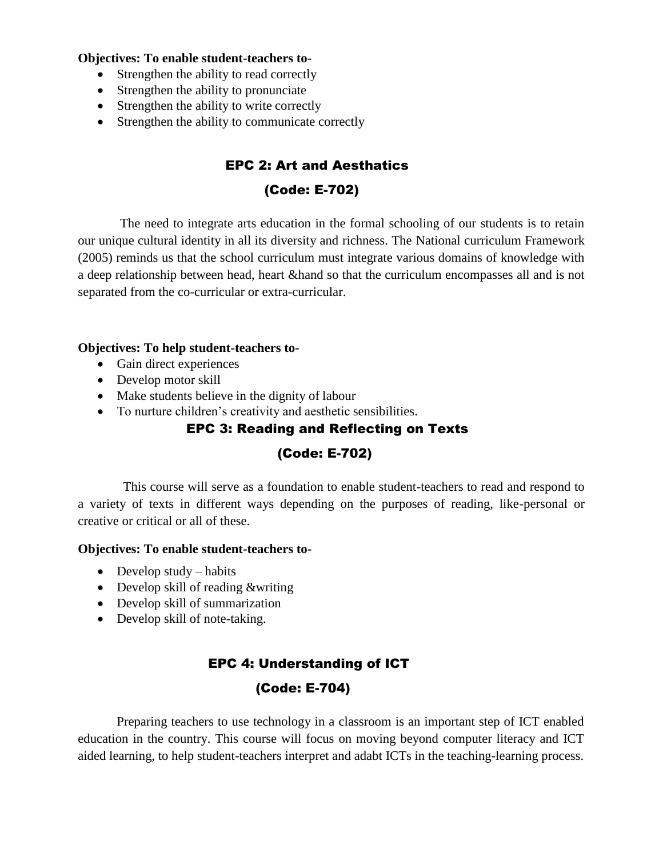#### **Objectives: To enable student-teachers to-**

- Strengthen the ability to read correctly
- Strengthen the ability to pronunciate
- Strengthen the ability to write correctly
- Strengthen the ability to communicate correctly

## EPC 2: Art and Aesthatics

### (Code: E-702)

The need to integrate arts education in the formal schooling of our students is to retain our unique cultural identity in all its diversity and richness. The National curriculum Framework (2005) reminds us that the school curriculum must integrate various domains of knowledge with a deep relationship between head, heart &hand so that the curriculum encompasses all and is not separated from the co-curricular or extra-curricular.

#### **Objectives: To help student-teachers to-**

- Gain direct experiences
- Develop motor skill
- Make students believe in the dignity of labour
- To nurture children's creativity and aesthetic sensibilities.

## EPC 3: Reading and Reflecting on Texts

## (Code: E-702)

This course will serve as a foundation to enable student-teachers to read and respond to a variety of texts in different ways depending on the purposes of reading, like-personal or creative or critical or all of these.

#### **Objectives: To enable student-teachers to-**

- $\bullet$  Develop study habits
- Develop skill of reading &writing
- Develop skill of summarization
- Develop skill of note-taking.

## EPC 4: Understanding of ICT

## (Code: E-704)

Preparing teachers to use technology in a classroom is an important step of ICT enabled education in the country. This course will focus on moving beyond computer literacy and ICT aided learning, to help student-teachers interpret and adabt ICTs in the teaching-learning process.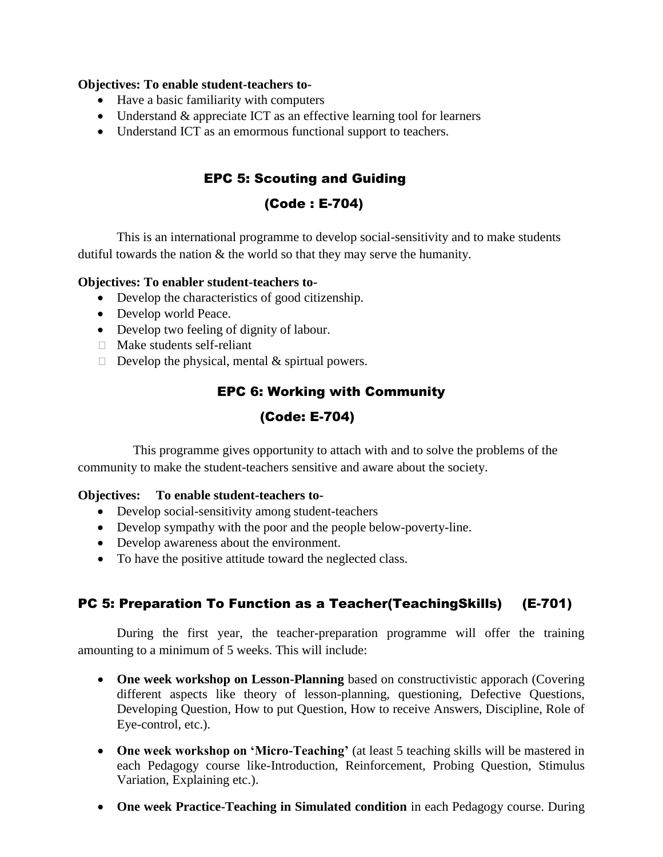#### **Objectives: To enable student-teachers to-**

- Have a basic familiarity with computers
- Understand & appreciate ICT as an effective learning tool for learners
- Understand ICT as an emormous functional support to teachers.

## EPC 5: Scouting and Guiding

## (Code : E-704)

This is an international programme to develop social-sensitivity and to make students dutiful towards the nation  $\&$  the world so that they may serve the humanity.

#### **Objectives: To enabler student-teachers to-**

- Develop the characteristics of good citizenship.
- Develop world Peace.
- Develop two feeling of dignity of labour.
- □ Make students self-reliant
- $\Box$  Develop the physical, mental & spirtual powers.

## EPC 6: Working with Community (Code: E-704)

This programme gives opportunity to attach with and to solve the problems of the community to make the student-teachers sensitive and aware about the society.

#### **Objectives: To enable student-teachers to-**

- Develop social-sensitivity among student-teachers
- Develop sympathy with the poor and the people below-poverty-line.
- Develop awareness about the environment.
- To have the positive attitude toward the neglected class.

## PC 5: Preparation To Function as a Teacher(TeachingSkills) (E-701)

During the first year, the teacher-preparation programme will offer the training amounting to a minimum of 5 weeks. This will include:

- **One week workshop on Lesson-Planning** based on constructivistic apporach (Covering different aspects like theory of lesson-planning, questioning, Defective Questions, Developing Question, How to put Question, How to receive Answers, Discipline, Role of Eye-control, etc.).
- One week workshop on 'Micro-Teaching' (at least 5 teaching skills will be mastered in each Pedagogy course like-Introduction, Reinforcement, Probing Question, Stimulus Variation, Explaining etc.).
- One week Practice-Teaching in Simulated condition in each Pedagogy course. During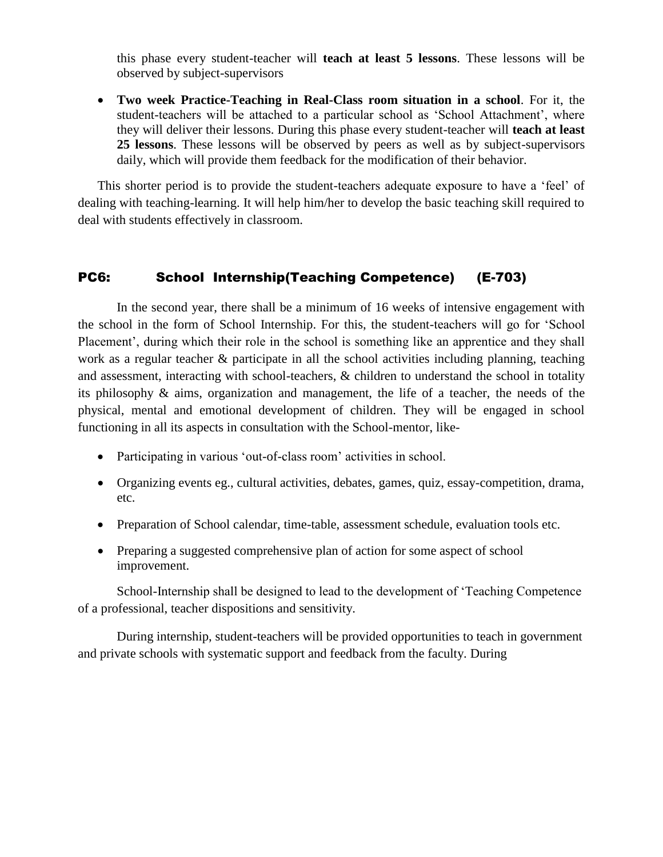this phase every student-teacher will **teach at least 5 lessons**. These lessons will be observed by subject-supervisors

 **Two week Practice-Teaching in Real-Class room situation in a school**. For it, the student-teachers will be attached to a particular school as 'School Attachment', where they will deliver their lessons. During this phase every student-teacher will **teach at least 25 lessons**. These lessons will be observed by peers as well as by subject-supervisors daily, which will provide them feedback for the modification of their behavior.

This shorter period is to provide the student-teachers adequate exposure to have a 'feel' of dealing with teaching-learning. It will help him/her to develop the basic teaching skill required to deal with students effectively in classroom.

#### PC6: School Internship(Teaching Competence) (E-703)

In the second year, there shall be a minimum of 16 weeks of intensive engagement with the school in the form of School Internship. For this, the student-teachers will go for 'School Placement', during which their role in the school is something like an apprentice and they shall work as a regular teacher & participate in all the school activities including planning, teaching and assessment, interacting with school-teachers, & children to understand the school in totality its philosophy & aims, organization and management, the life of a teacher, the needs of the physical, mental and emotional development of children. They will be engaged in school functioning in all its aspects in consultation with the School-mentor, like-

- Participating in various 'out-of-class room' activities in school.
- Organizing events eg., cultural activities, debates, games, quiz, essay-competition, drama, etc.
- Preparation of School calendar, time-table, assessment schedule, evaluation tools etc.
- Preparing a suggested comprehensive plan of action for some aspect of school improvement.

School-Internship shall be designed to lead to the development of 'Teaching Competence of a professional, teacher dispositions and sensitivity.

During internship, student-teachers will be provided opportunities to teach in government and private schools with systematic support and feedback from the faculty. During